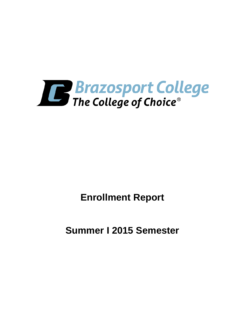

**Enrollment Report**

**Summer I 2015 Semester**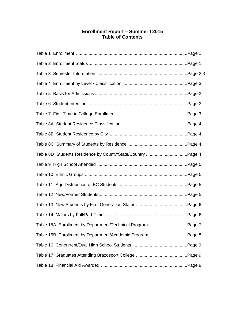# **Enrollment Report – Summer I 2015 Table of Contents**

| Table 15A Enrollment by Department/Technical Program Page 7 |  |
|-------------------------------------------------------------|--|
| Table 15B Enrollment by Department/Academic ProgramPage 8   |  |
|                                                             |  |
|                                                             |  |
|                                                             |  |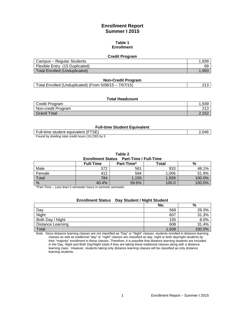# **Enrollment Report Summer I 2015**

#### **Table 1 Enrollment**

#### **Credit Program**

| Campus – Regular Students      | .939  |
|--------------------------------|-------|
| Flexible Entry (15 Duplicated) | 69    |
| Total Enrolled (Unduplicated)  | 1.99: |

#### **Non-Credit Program**

|  | Total Enrolled (Unduplicated) (From 5/08/15 - 7/07/15) | ?1ა |
|--|--------------------------------------------------------|-----|
|--|--------------------------------------------------------|-----|

#### **Total Headcount**

| Credit Program     | .939                      |
|--------------------|---------------------------|
| Non-credit Program | ດ4 ດ<br>ں اے              |
| Grand Total        | 2.15 <sup>c</sup><br>l vz |

#### **Full-time Student Equivalent**

| Full-time student equivalent (FTSE)                | .046 |
|----------------------------------------------------|------|
| Found by dividing total credit hours (10,230) by 5 |      |

**Table 2**

#### **Enrollment Status Part-Time / Full-Time**

| ___________________ |                  |            |              |        |  |
|---------------------|------------------|------------|--------------|--------|--|
|                     | <b>Full-Time</b> | Part-Time* | <b>Total</b> | %      |  |
| Male                | 372              | 561        | 933          | 48.1%  |  |
| Female              | 412              | 594        | 1,006        | 51.9%  |  |
| Total               | 784              | 1.155      | 1,939        | 100.0% |  |
| %                   | 40.4%            | 59.6%      | 100.0        | 100.0% |  |

\*Part-Time – Less than 5 semester hours in summer semester.

### **Enrollment Status Day Student / Night Student**

|                   | No.   | %      |
|-------------------|-------|--------|
| Day               | 569   | 29.3%  |
| Night             | 607   | 31.3%  |
| Both Day / Night  | 155   | 8.0%   |
| Distance Learning | 608   | 31.4%  |
| Total             | 1,939 | 100.0% |

Note: Since distance learning classes are not classified as "Day" or "Night" classes, students enrolled in distance learning classes as well as traditional "day" or "night" classes are classified as day, night or both day/night students by their "majority" enrollment in these classes. Therefore, it is possible that distance learning students are included in the Day, Night and Both Day/Night totals if they are taking these traditional classes along with a distance learning class. However, students taking only distance learning classes will be classified as only distance learning students.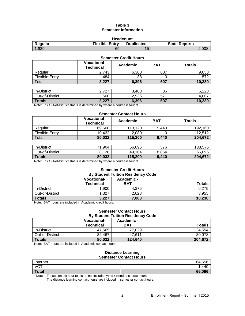### **Table 3 Semester Information**

| <b>Headcount</b>                                                              |    |           |       |  |  |
|-------------------------------------------------------------------------------|----|-----------|-------|--|--|
| <b>Flexible Entry</b><br><b>Duplicated</b><br><b>State Reports</b><br>Regular |    |           |       |  |  |
| 1.939                                                                         | 69 | 1F<br>ن ا | 2.008 |  |  |

| <b>Semester Credit Hours</b> |                                        |          |            |                  |  |
|------------------------------|----------------------------------------|----------|------------|------------------|--|
|                              | <b>Vocational-</b><br><b>Technical</b> | Academic | <b>BAT</b> | <b>Totals</b>    |  |
| Regular                      | 2,743                                  | 6,308    | 607        | 9,658            |  |
| <b>Flexible Entry</b>        | 484                                    | 88       | 0          | $\overline{572}$ |  |
| Total                        | 3,227                                  | 6,396    | 607        | 10,230           |  |
|                              |                                        |          |            |                  |  |
| In-District                  | 2,727                                  | 3,460    | 36         | 6,223            |  |
| Out-of-District              | 500                                    | 2,936    | 571        | 4,007            |  |
| <b>Totals</b>                | 3,227                                  | 6,396    | 607        | 10,230           |  |

Note: In / Out-of-District status is determined by where a course is taught.

#### **Semester Contact Hours**

|                | <b>Vocational-</b><br><b>Technical</b> | Academic | <b>BAT</b> | Totals  |
|----------------|----------------------------------------|----------|------------|---------|
| Regular        | 69,600                                 | 113.120  | 9.440      | 192.160 |
| Flexible Entry | 10.432                                 | 2.080    |            | 12.512  |
| Total          | 80,032                                 | 115,200  | 9,440      | 204,672 |

| In-District     | .904<br>74 | 66,096  | 576   | 138.576 |
|-----------------|------------|---------|-------|---------|
| Out-of-District | 8,128      | 49,104  | 8.864 | 66,096  |
| <b>Totals</b>   | 80,032     | 115.200 | 9,440 | 204.672 |

Note: In / Out-of-District status is determined by where a course is taught.

# **Semester Credit Hours**

| <b>By Student Tuition Residency Code</b> |                                 |                          |               |  |
|------------------------------------------|---------------------------------|--------------------------|---------------|--|
|                                          | <b>Vocational-</b><br>Technical | Academic -<br><b>BAT</b> | <b>Totals</b> |  |
| In-District                              | 1.900                           | 4.375                    | 6.275         |  |
| Out-of-District                          | 1.327                           | 2,628                    | 3.955         |  |
| <b>Totals</b>                            | 3,227                           | 7,003                    | 10,230        |  |

Note: BAT hours are included in Academic credit hours.

#### **Semester Contact Hours By Student Tuition Residency Code**

|                 | <b>Vocational-</b><br><b>Technical</b> | Academic -<br>BAT | <b>Totals</b> |
|-----------------|----------------------------------------|-------------------|---------------|
| In-District     | 47.565                                 | 77.029            | 124.594       |
| Out-of-District | 32.467                                 | 47.611            | 80.078        |
| <b>Totals</b>   | 80.032                                 | 124.640           | 204.672       |

Note: BAT hours are included in Academic contact hours.

#### **Distance Learning Semester Contact Hours**

| Internet     | 64,656 |
|--------------|--------|
| <b>VCT</b>   | 440    |
| <b>Total</b> | 66,096 |

Note: These contact hour totals do not include hybrid / blended course hours.

The distance learning contact hours are included in semester contact hours.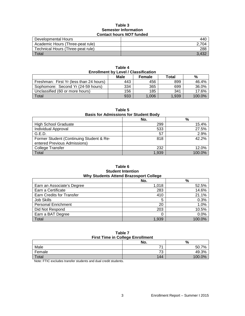#### **Table 3 Semester Information Contact hours** *NOT* **funded**

| Developmental Hours               | 440   |
|-----------------------------------|-------|
| Academic Hours (Three-peat rule)  |       |
| Technical Hours (Three-peat rule) | 288   |
| $\tau$ <sub>otal</sub>            | 3.432 |

| .<br><b>Enrollment by Level / Classification</b> |      |        |       |        |  |
|--------------------------------------------------|------|--------|-------|--------|--|
|                                                  | Male | Female | Total | %      |  |
| Freshman: First Yr (less than 24 hours)          | 443  | 456    | 899   | 46.4%  |  |
| Sophomore: Second Yr (24-59 hours)               | 334  | 365    | 699   | 36.0%  |  |
| Unclassified (60 or more hours)                  | 156  | 185    | 341   | 17.6%  |  |
| Total                                            | 933  | 1.006  | 1.939 | 100.0% |  |

**Table 4**

| г<br>÷ |  |
|--------|--|
|        |  |

**Basis for Admissions for Student Body**

|                                          | No.   | %      |
|------------------------------------------|-------|--------|
| <b>High School Graduate</b>              | 299   | 15.4%  |
| Individual Approval                      | 533   | 27.5%  |
| G.E.D.                                   | 57    | 2.9%   |
| Former Student (Continuing Student & Re- | 818   | 42.2%  |
| entered Previous Admissions)             |       |        |
| <b>College Transfer</b>                  | 232   | 12.0%  |
| Total                                    | 1.939 | 100.0% |

#### **Table 6 Student Intention Why Students Attend Brazosport College**

|                                  | No.   | $\%$   |
|----------------------------------|-------|--------|
| Earn an Associate's Degree       | 1,018 | 52.5%  |
| Earn a Certificate               | 283   | 14.6%  |
| <b>Earn Credits for Transfer</b> | 410   | 21.1%  |
| Job Skills                       | 5     | 0.3%   |
| <b>Personal Enrichment</b>       | 20    | 1.0%   |
| Did Not Respond                  | 203   | 10.5%  |
| Earn a BAT Degree                |       | 0.0%   |
| Total                            | 1,939 | 100.0% |

### **Table 7 First Time in College Enrollment**

| .<br>---------------                                  |                               |        |  |
|-------------------------------------------------------|-------------------------------|--------|--|
|                                                       | No.                           | $\%$   |  |
| Male                                                  |                               | 50.7%  |  |
| Female                                                | $\overline{\phantom{a}}$<br>◡ | 49.3%  |  |
| Total                                                 | 144                           | 100.0% |  |
| . <del>.</del><br>.<br>. .<br>the control of the con- |                               |        |  |

Note: FTIC excludes transfer students and dual credit students.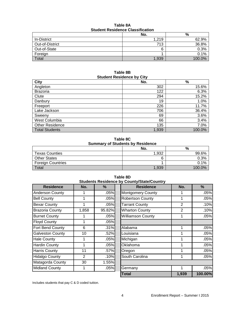| Student Residence Classification |       |        |  |
|----------------------------------|-------|--------|--|
|                                  | No.   | %      |  |
| In-District                      | 1,219 | 62.9%  |  |
| Out-of-District                  | 713   | 36.8%  |  |
| Out-of-State                     |       | 0.3%   |  |
| Foreign                          |       | 0.1%   |  |
| Total                            | 1.939 | 100.0% |  |

**Table 8A Student Residence Classification**

#### **Table 8B Student Residence by City**

| <b>City</b>            | -<br>No. | $\%$   |
|------------------------|----------|--------|
| Angleton               | 302      | 15.6%  |
| <b>Brazoria</b>        | 122      | 6.3%   |
| Clute                  | 294      | 15.2%  |
| Danbury                | 19       | 1.0%   |
| Freeport               | 226      | 11.7%  |
| Lake Jackson           | 706      | 36.4%  |
| Sweeny                 | 69       | 3.6%   |
| West Columbia          | 66       | 3.4%   |
| <b>Other Residence</b> | 135      | 7.0%   |
| <b>Total Students</b>  | 1,939    | 100.0% |

**Table 8C Summary of Students by Residence**

|                          | No.   | %      |
|--------------------------|-------|--------|
| <b>Texas Counties</b>    | 1.932 | 99.6%  |
| <b>Other States</b>      |       | 0.3%   |
| <b>Foreign Countries</b> |       | 0.1%   |
| Total                    | 1,939 | 100.0% |

| Students Residence      |       |        |
|-------------------------|-------|--------|
| <b>Residence</b>        | No.   | ℅      |
| <b>Anderson County</b>  |       | .05%   |
| <b>Bell County</b>      |       | .05%   |
| <b>Bexar County</b>     |       | .05%   |
| <b>Brazoria County</b>  | 1,858 | 95.82% |
| <b>Burnet County</b>    |       | .05%   |
| <b>Floyd County</b>     | 1     | .05%   |
| Fort Bend County        | 6     | .31%   |
| <b>Galveston County</b> | 10    | .52%   |
| <b>Hale County</b>      | 1     | .05%   |
| <b>Hardin County</b>    | 1     | .05%   |
| <b>Harris County</b>    | 11    | .57%   |
| <b>Hidalgo County</b>   | 2     | .10%   |
| Matagorda County        | 30    | 1.55%  |
| <b>Midland County</b>   |       | .05%   |

| <b>Residence</b>       | No.            | %      | <b>Residence</b>         | No.            | %       |
|------------------------|----------------|--------|--------------------------|----------------|---------|
| <b>Anderson County</b> |                | .05%   | <b>Montgomery County</b> |                | .05%    |
| <b>Bell County</b>     |                | .05%   | <b>Robertson County</b>  | 1              | .05%    |
| Bexar County           |                | .05%   | <b>Tarrant County</b>    | $\overline{2}$ | .10%    |
| <b>Brazoria County</b> | 1,858          | 95.82% | <b>Wharton County</b>    | $\overline{2}$ | .10%    |
| <b>Burnet County</b>   |                | .05%   | <b>Williamson County</b> |                | .05%    |
| <b>Floyd County</b>    |                | .05%   |                          |                |         |
| Fort Bend County       | 6              | .31%   | Alabama                  |                | .05%    |
| Galveston County       | 10             | .52%   | Louisiana                | 1              | .05%    |
| <b>Hale County</b>     |                | .05%   | Michigan                 |                | .05%    |
| <b>Hardin County</b>   |                | .05%   | Oklahoma                 |                | .05%    |
| <b>Harris County</b>   | 11             | .57%   | Oregon                   |                | .05%    |
| <b>Hidalgo County</b>  | $\overline{2}$ | .10%   | South Carolina           |                | .05%    |
| Matagorda County       | 30             | 1.55%  |                          |                |         |
| <b>Midland County</b>  |                | .05%   | Germany                  |                | .05%    |
|                        |                |        | <b>Total</b>             | 1,939          | 100.00% |

**Table 8D Students Residence by County/State/Country**

Includes students that pay C & D coded tuition.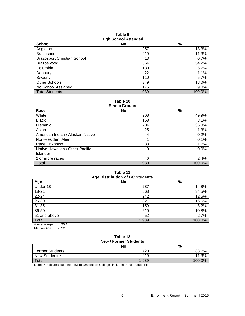| <b>School</b>                      | No.   | %      |
|------------------------------------|-------|--------|
| Angleton                           | 257   | 13.3%  |
| <b>Brazosport</b>                  | 219   | 11.3%  |
| <b>Brazosport Christian School</b> | 13    | 0.7%   |
| <b>Brazoswood</b>                  | 664   | 34.2%  |
| Columbia                           | 130   | 6.7%   |
| Danbury                            | 22    | 1.1%   |
| Sweeny                             | 110   | 5.7%   |
| <b>Other Schools</b>               | 349   | 18.0%  |
| No School Assigned                 | 175   | 9.0%   |
| <b>Total Students</b>              | 1,939 | 100.0% |

**Table 9 High School Attended**

**Table 10**

| <b>Ethnic Groups</b>             |       |        |  |  |
|----------------------------------|-------|--------|--|--|
| Race                             | No.   | $\%$   |  |  |
| White                            | 968   | 49.9%  |  |  |
| <b>Black</b>                     | 158   | 8.1%   |  |  |
| Hispanic                         | 704   | 36.3%  |  |  |
| Asian                            | 25    | 1.3%   |  |  |
| American Indian / Alaskan Native | 4     | 0.2%   |  |  |
| Non-Resident Alien               |       | 0.1%   |  |  |
| Race Unknown                     | 33    | 1.7%   |  |  |
| Native Hawaiian / Other Pacific  | 0     | 0.0%   |  |  |
| <b>Islander</b>                  |       |        |  |  |
| 2 or more races                  | 46    | 2.4%   |  |  |
| Total                            | 1,939 | 100.0% |  |  |

#### **Table 11 Age Distribution of BC Students**

| Age Distribution of DC Students                     |       |        |  |  |
|-----------------------------------------------------|-------|--------|--|--|
| Age                                                 | No.   | %      |  |  |
| Under 18                                            | 287   | 14.8%  |  |  |
| 18-21                                               | 668   | 34.5%  |  |  |
| 22-24                                               | 242   | 12.5%  |  |  |
| 25-30                                               | 321   | 16.6%  |  |  |
| $31 - 35$                                           | 159   | 8.2%   |  |  |
| 36-50                                               | 210   | 10.8%  |  |  |
| 51 and above                                        | 52    | 2.7%   |  |  |
| Total                                               | 1,939 | 100.0% |  |  |
| $\sim$ $\sim$ $\sim$ $\sim$<br>$\sim$ $\sim$ $\sim$ |       |        |  |  |

Average Age = 25.1 Median Age  $= 22.0$ 

## **Table 12 New / Former Students**

| No.   | %                                                                                                                                                                                                                                 |
|-------|-----------------------------------------------------------------------------------------------------------------------------------------------------------------------------------------------------------------------------------|
| .720  | 88.7%                                                                                                                                                                                                                             |
| 219   | 11.3%                                                                                                                                                                                                                             |
| 1,939 | 100.0%                                                                                                                                                                                                                            |
|       | $\mathbf{a}$ , and the state of the state of the state of the state of the state of the state of the state of the state of the state of the state of the state of the state of the state of the state of the state of the state o |

Note: \* Indicates students new to Brazosport College--includes transfer students.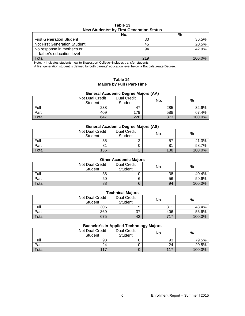| Table 13                                 |  |  |
|------------------------------------------|--|--|
| New Students* by First Generation Status |  |  |

|                                 | No. | %      |
|---------------------------------|-----|--------|
| <b>First Generation Student</b> | 80  | 36.5%  |
| Not First Generation Student    | 45  | 20.5%  |
| No response in mother's or      | 94  | 42.9%  |
| father's education level        |     |        |
| Total                           | 219 | 100 0% |

Note: \* Indicates students new to Brazosport College--includes transfer students.

A first generation student is defined by both parents' education level below a Baccalaureate Degree.

### **Table 14 Majors by Full / Part-Time**

### **General Academic Degree Majors (AA)**

|       | Not Dual Credit<br><b>Student</b> | <b>Dual Credit</b><br><b>Student</b> | No. | %      |
|-------|-----------------------------------|--------------------------------------|-----|--------|
| Full  | 238                               | 47                                   | 285 | 32.6%  |
| Part  | 409                               | 179                                  | 588 | 67.4%  |
| Total | 647                               | 226                                  | 873 | 100.0% |

#### **General Academic Degree Majors (AS)**

|       | Not Dual Credit<br>Student | <b>Dual Credit</b><br>Student | No. | %      |
|-------|----------------------------|-------------------------------|-----|--------|
| Full  | 55                         |                               | 57  | 41.3%  |
| Part  | 81                         |                               | 81  | 58.7%  |
| Total | 136                        |                               | 138 | 100.0% |

### **Other Academic Majors**

|       | Not Dual Credit<br><b>Student</b> | <b>Dual Credit</b><br>Student | No. | %      |
|-------|-----------------------------------|-------------------------------|-----|--------|
| Full  | 38                                |                               | 38  | 40.4%  |
| Part  | 50                                |                               | 56  | 59.6%  |
| Total | 88                                |                               | 94  | 100.0% |

| <b>Technical Majors</b> |                                   |                               |     |        |  |
|-------------------------|-----------------------------------|-------------------------------|-----|--------|--|
|                         | Not Dual Credit<br><b>Student</b> | <b>Dual Credit</b><br>Student | No. | %      |  |
| Full                    | 306                               |                               | 311 | 43.4%  |  |
| Part                    | 369                               | 37                            | 406 | 56.6%  |  |
| Total                   | 675                               | 42                            | 717 | 100.0% |  |

#### **Bachelor's in Applied Technology Majors**

|       |                            |                               | <u>رس</u> |        |
|-------|----------------------------|-------------------------------|-----------|--------|
|       | Not Dual Credit<br>Student | <b>Dual Credit</b><br>Student | No.       | %      |
| Full  | 93                         |                               | 93        | 79.5%  |
| Part  | 24                         |                               | 24        | 20.5%  |
| Total | 117                        |                               | 117       | 100.0% |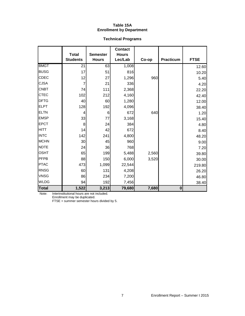### **Table 15A Enrollment by Department**

# **Technical Programs**

|              | <b>Total</b>    | <b>Semester</b> | <b>Contact</b><br><b>Hours</b> |       |                  |             |
|--------------|-----------------|-----------------|--------------------------------|-------|------------------|-------------|
|              | <b>Students</b> | <b>Hours</b>    | Lec/Lab                        | Co-op | <b>Practicum</b> | <b>FTSE</b> |
| <b>BMGT</b>  | 21              | 63              | 1,008                          |       |                  | 12.60       |
| <b>BUSG</b>  | 17              | 51              | 816                            |       |                  | 10.20       |
| <b>CDEC</b>  | 12              | 27              | 1,296                          | 960   |                  | 5.40        |
| <b>CJSA</b>  | 7               | 21              | 336                            |       |                  | 4.20        |
| <b>CNBT</b>  | 74              | 111             | 2,368                          |       |                  | 22.20       |
| <b>CTEC</b>  | 102             | 212             | 4,160                          |       |                  | 42.40       |
| <b>DFTG</b>  | 40              | 60              | 1,280                          |       |                  | 12.00       |
| <b>ELPT</b>  | 128             | 192             | 4,096                          |       |                  | 38.40       |
| <b>ELTN</b>  | 4               | 6               | 672                            | 640   |                  | 1.20        |
| <b>EMSP</b>  | 33              | 77              | 3,168                          |       |                  | 15.40       |
| <b>EPCT</b>  | 8               | 24              | 384                            |       |                  | 4.80        |
| <b>HITT</b>  | 14              | 42              | 672                            |       |                  | 8.40        |
| <b>INTC</b>  | 142             | 241             | 4,800                          |       |                  | 48.20       |
| <b>MCHN</b>  | 30              | 45              | 960                            |       |                  | 9.00        |
| <b>NDTE</b>  | 24              | 36              | 768                            |       |                  | 7.20        |
| <b>OSHT</b>  | 65              | 199             | 5,488                          | 2,560 |                  | 39.80       |
| PFPB         | 88              | 150             | 6,000                          | 3,520 |                  | 30.00       |
| <b>PTAC</b>  | 473             | 1,099           | 22,544                         |       |                  | 219.80      |
| <b>RNSG</b>  | 60              | 131             | 4,208                          |       |                  | 26.20       |
| <b>VNSG</b>  | 86              | 234             | 7,200                          |       |                  | 46.80       |
| <b>WLDG</b>  | 94              | 192             | 7,456                          |       |                  | 38.40       |
| <b>Total</b> | 1,522           | 3,213           | 79,680                         | 7,680 | $\mathbf{0}$     |             |

Note: Interinstitutional hours are not included.

Enrollment may be duplicated.

FTSE = summer semester hours divided by 5.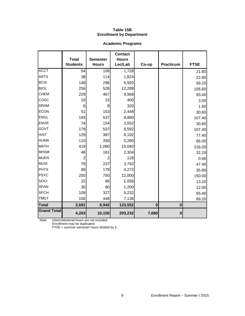### **Table 15B Enrollment by Department**

# **Academic Programs**

|                    | <b>Total</b>    | <b>Semester</b> | <b>Contact</b><br><b>Hours</b> |          |             |             |
|--------------------|-----------------|-----------------|--------------------------------|----------|-------------|-------------|
|                    | <b>Students</b> | <b>Hours</b>    | Lec/Lab                        | Co-op    | Practicum   | <b>FTSE</b> |
| <b>ACCT</b>        | 54              | 108             | 1,728                          |          |             | 21.60       |
| <b>ARTS</b>        | 38              | 114             | 1,824                          |          |             | 22.80       |
| <b>BCIS</b>        | 148             | 296             | 5,920                          |          |             | 59.20       |
| <b>BIOL</b>        | 256             | 528             | 12,288                         |          |             | 105.60      |
| <b>CHEM</b>        | 229             | 467             | 9,968                          |          |             | 93.40       |
| cosc               | 10              | 15              | 400                            |          |             | 3.00        |
| <b>DRAM</b>        | 6               | 8               | 320                            |          |             | 1.60        |
| <b>ECON</b>        | 51              | 153             | 2,448                          |          |             | 30.60       |
| <b>ENGL</b>        | 193             | 537             | 8,880                          |          |             | 107.40      |
| <b>ENVR</b>        | 74              | 154             | 3,552                          |          |             | 30.80       |
| <b>GOVT</b>        | 179             | 537             | 8,592                          |          |             | 107.40      |
| <b>HIST</b>        | 129             | 387             | 6,192                          |          |             | 77.40       |
| <b>HUMA</b>        | 110             | 330             | 5,280                          |          |             | 66.00       |
| <b>MATH</b>        | 419             | 1,080           | 19,040                         |          |             | 216.00      |
| <b>MHSM</b>        | 48              | 161             | 2,304                          |          |             | 32.20       |
| <b>MUEN</b>        | $\overline{2}$  | $\overline{2}$  | 128                            |          |             | 0.40        |
| <b>MUSI</b>        | 79              | 237             | 3,792                          |          |             | 47.40       |
| PHYS               | 89              | 179             | 4,272                          |          |             | 35.80       |
| <b>PSYC</b>        | 250             | 750             | 12,000                         |          |             | 150.00      |
| SOCI               | 22              | 66              | 1,056                          |          |             | 13.20       |
| <b>SPAN</b>        | 30              | 60              | 1,200                          |          |             | 12.00       |
| <b>SPCH</b>        | 109             | 327             | 5,232                          |          |             | 65.40       |
| <b>TMGT</b>        | 156             | 446             | 7,136                          |          |             | 89.20       |
| Total              | 2,681           | 6,942           | 123,552                        | $\bf{0}$ | $\mathbf 0$ |             |
| <b>Grand Total</b> | 4,203           | 10,155          | 203,232                        | 7,680    | $\bf{0}$    |             |

Note: Interinstitutional hours are not included.

Enrollment may be duplicated.

FTSE = summer semester hours divided by 5.